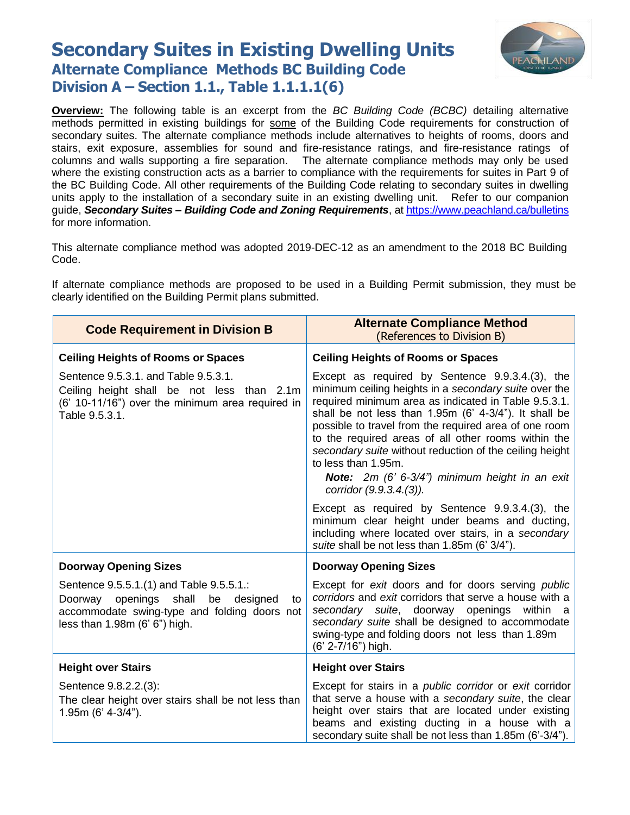## **Secondary Suites in Existing Dwelling Units Alternate Compliance Methods BC Building Code Division A – Section 1.1., Table 1.1.1.1(6)**



**Overview:** The following table is an excerpt from the *BC Building Code (BCBC)* detailing alternative methods permitted in existing buildings for some of the Building Code requirements for construction of secondary suites. The alternate compliance methods include alternatives to heights of rooms, doors and stairs, exit exposure, assemblies for sound and fire-resistance ratings, and fire-resistance ratings of columns and walls supporting a fire separation. The alternate compliance methods may only be used where the existing construction acts as a barrier to compliance with the requirements for suites in Part 9 of the BC Building Code. All other requirements of the Building Code relating to secondary suites in dwelling units apply to the installation of a secondary suite in an existing dwelling unit. Refer to our companion guide, *Secondary Suites – Building Code and Zoning Requirements*, at<https://www.peachland.ca/bulletins> for more information.

This alternate compliance method was adopted 2019-DEC-12 as an amendment to the 2018 BC Building Code.

If alternate compliance methods are proposed to be used in a Building Permit submission, they must be clearly identified on the Building Permit plans submitted.

| <b>Code Requirement in Division B</b>                                                                                                                                         | <b>Alternate Compliance Method</b><br>(References to Division B)                                                                                                                                                                                                                                                                                                                                                                                                                                                                                            |
|-------------------------------------------------------------------------------------------------------------------------------------------------------------------------------|-------------------------------------------------------------------------------------------------------------------------------------------------------------------------------------------------------------------------------------------------------------------------------------------------------------------------------------------------------------------------------------------------------------------------------------------------------------------------------------------------------------------------------------------------------------|
| <b>Ceiling Heights of Rooms or Spaces</b>                                                                                                                                     | <b>Ceiling Heights of Rooms or Spaces</b>                                                                                                                                                                                                                                                                                                                                                                                                                                                                                                                   |
| Sentence 9.5.3.1. and Table 9.5.3.1.<br>Ceiling height shall be not less than 2.1m<br>(6' 10-11/16") over the minimum area required in<br>Table 9.5.3.1.                      | Except as required by Sentence 9.9.3.4.(3), the<br>minimum ceiling heights in a secondary suite over the<br>required minimum area as indicated in Table 9.5.3.1.<br>shall be not less than 1.95m (6' 4-3/4"). It shall be<br>possible to travel from the required area of one room<br>to the required areas of all other rooms within the<br>secondary suite without reduction of the ceiling height<br>to less than 1.95m.<br>Note: 2m (6' 6-3/4") minimum height in an exit<br>corridor (9.9.3.4.(3)).<br>Except as required by Sentence 9.9.3.4.(3), the |
|                                                                                                                                                                               | minimum clear height under beams and ducting,<br>including where located over stairs, in a secondary<br>suite shall be not less than 1.85m (6' 3/4").                                                                                                                                                                                                                                                                                                                                                                                                       |
| <b>Doorway Opening Sizes</b>                                                                                                                                                  | <b>Doorway Opening Sizes</b>                                                                                                                                                                                                                                                                                                                                                                                                                                                                                                                                |
| Sentence 9.5.5.1.(1) and Table 9.5.5.1.:<br>openings shall be<br>Doorway<br>designed<br>to<br>accommodate swing-type and folding doors not<br>less than $1.98m$ (6' 6") high. | Except for exit doors and for doors serving public<br>corridors and exit corridors that serve a house with a<br>secondary suite, doorway openings within a<br>secondary suite shall be designed to accommodate<br>swing-type and folding doors not less than 1.89m<br>(6' 2-7/16") high.                                                                                                                                                                                                                                                                    |
| <b>Height over Stairs</b>                                                                                                                                                     | <b>Height over Stairs</b>                                                                                                                                                                                                                                                                                                                                                                                                                                                                                                                                   |
| Sentence 9.8.2.2.(3):<br>The clear height over stairs shall be not less than<br>1.95m (6' 4-3/4").                                                                            | Except for stairs in a <i>public corridor</i> or exit corridor<br>that serve a house with a secondary suite, the clear<br>height over stairs that are located under existing<br>beams and existing ducting in a house with a<br>secondary suite shall be not less than 1.85m (6'-3/4").                                                                                                                                                                                                                                                                     |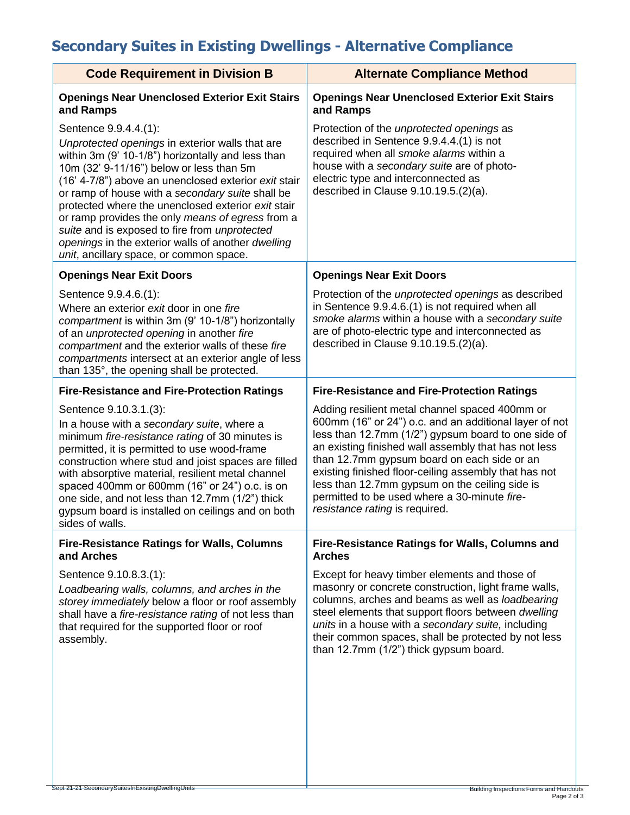## **Secondary Suites in Existing Dwellings - Alternative Compliance**

| <b>Code Requirement in Division B</b>                                                                                                                                                                                                                                                                                                                                                                                                                                                                                                             | <b>Alternate Compliance Method</b>                                                                                                                                                                                                                                                                                                                                                                                                                                  |
|---------------------------------------------------------------------------------------------------------------------------------------------------------------------------------------------------------------------------------------------------------------------------------------------------------------------------------------------------------------------------------------------------------------------------------------------------------------------------------------------------------------------------------------------------|---------------------------------------------------------------------------------------------------------------------------------------------------------------------------------------------------------------------------------------------------------------------------------------------------------------------------------------------------------------------------------------------------------------------------------------------------------------------|
| <b>Openings Near Unenclosed Exterior Exit Stairs</b><br>and Ramps                                                                                                                                                                                                                                                                                                                                                                                                                                                                                 | <b>Openings Near Unenclosed Exterior Exit Stairs</b><br>and Ramps                                                                                                                                                                                                                                                                                                                                                                                                   |
| Sentence 9.9.4.4.(1):<br>Unprotected openings in exterior walls that are<br>within 3m (9' 10-1/8") horizontally and less than<br>10m (32' 9-11/16") below or less than 5m<br>(16' 4-7/8") above an unenclosed exterior exit stair<br>or ramp of house with a secondary suite shall be<br>protected where the unenclosed exterior exit stair<br>or ramp provides the only means of egress from a<br>suite and is exposed to fire from unprotected<br>openings in the exterior walls of another dwelling<br>unit, ancillary space, or common space. | Protection of the <i>unprotected</i> openings as<br>described in Sentence 9.9.4.4.(1) is not<br>required when all smoke alarms within a<br>house with a secondary suite are of photo-<br>electric type and interconnected as<br>described in Clause $9.10.19.5(2)(a)$ .                                                                                                                                                                                             |
| <b>Openings Near Exit Doors</b>                                                                                                                                                                                                                                                                                                                                                                                                                                                                                                                   | <b>Openings Near Exit Doors</b>                                                                                                                                                                                                                                                                                                                                                                                                                                     |
| Sentence 9.9.4.6.(1):<br>Where an exterior exit door in one fire<br>compartment is within 3m (9' 10-1/8") horizontally<br>of an unprotected opening in another fire<br>compartment and the exterior walls of these fire<br>compartments intersect at an exterior angle of less<br>than 135°, the opening shall be protected.                                                                                                                                                                                                                      | Protection of the <i>unprotected</i> openings as described<br>in Sentence 9.9.4.6.(1) is not required when all<br>smoke alarms within a house with a secondary suite<br>are of photo-electric type and interconnected as<br>described in Clause $9.10.19.5(2)(a)$ .                                                                                                                                                                                                 |
| <b>Fire-Resistance and Fire-Protection Ratings</b>                                                                                                                                                                                                                                                                                                                                                                                                                                                                                                | <b>Fire-Resistance and Fire-Protection Ratings</b>                                                                                                                                                                                                                                                                                                                                                                                                                  |
| Sentence 9.10.3.1.(3):<br>In a house with a secondary suite, where a<br>minimum fire-resistance rating of 30 minutes is<br>permitted, it is permitted to use wood-frame<br>construction where stud and joist spaces are filled<br>with absorptive material, resilient metal channel<br>spaced 400mm or 600mm (16" or 24") o.c. is on<br>one side, and not less than 12.7mm (1/2") thick<br>gypsum board is installed on ceilings and on both<br>sides of walls.                                                                                   | Adding resilient metal channel spaced 400mm or<br>600mm (16" or 24") o.c. and an additional layer of not<br>less than 12.7mm (1/2") gypsum board to one side of<br>an existing finished wall assembly that has not less<br>than 12.7mm gypsum board on each side or an<br>existing finished floor-ceiling assembly that has not<br>less than 12.7mm gypsum on the ceiling side is<br>permitted to be used where a 30-minute fire-<br>resistance rating is required. |
| <b>Fire-Resistance Ratings for Walls, Columns</b><br>and Arches                                                                                                                                                                                                                                                                                                                                                                                                                                                                                   | <b>Fire-Resistance Ratings for Walls, Columns and</b><br><b>Arches</b>                                                                                                                                                                                                                                                                                                                                                                                              |
| Sentence 9.10.8.3.(1):<br>Loadbearing walls, columns, and arches in the<br>storey immediately below a floor or roof assembly<br>shall have a fire-resistance rating of not less than<br>that required for the supported floor or roof<br>assembly.                                                                                                                                                                                                                                                                                                | Except for heavy timber elements and those of<br>masonry or concrete construction, light frame walls,<br>columns, arches and beams as well as loadbearing<br>steel elements that support floors between dwelling<br>units in a house with a secondary suite, including<br>their common spaces, shall be protected by not less<br>than 12.7mm (1/2") thick gypsum board.                                                                                             |